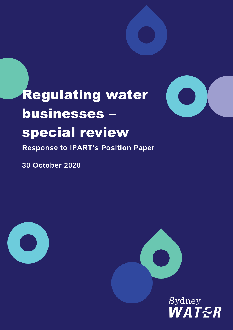

# Regulating water businesses – special review

**Response to IPART's Position Paper**

**30 October 2020** 





Sydney<br>*WATER*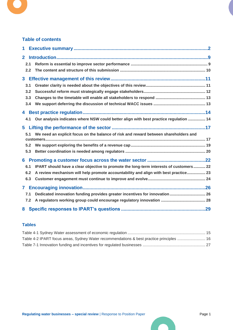

### **Table of contents**

| 1            |     |                                                                                        |  |
|--------------|-----|----------------------------------------------------------------------------------------|--|
| $\mathbf{2}$ |     |                                                                                        |  |
|              | 2.1 |                                                                                        |  |
|              | 2.2 |                                                                                        |  |
|              |     |                                                                                        |  |
|              | 3.1 |                                                                                        |  |
|              | 3.2 |                                                                                        |  |
|              | 3.3 |                                                                                        |  |
|              | 3.4 |                                                                                        |  |
|              |     |                                                                                        |  |
|              | 4.1 | Our analysis indicates where NSW could better align with best practice regulation  14  |  |
|              |     |                                                                                        |  |
|              | 5.1 | We need an explicit focus on the balance of risk and reward between shareholders and   |  |
|              |     |                                                                                        |  |
|              | 5.2 |                                                                                        |  |
|              | 5.3 |                                                                                        |  |
|              |     |                                                                                        |  |
|              | 6.1 | IPART should have a clear objective to promote the long-term interests of customers 22 |  |
|              | 6.2 | A review mechanism will help promote accountability and align with best practice 23    |  |
|              | 6.3 |                                                                                        |  |
|              |     |                                                                                        |  |
|              | 7.1 | Dedicated innovation funding provides greater incentives for innovation 26             |  |
|              | 7.2 |                                                                                        |  |
| 8            |     |                                                                                        |  |

#### **Tables**

| Table 4-2 IPART focus areas, Sydney Water recommendations & best practice principles  16 |  |
|------------------------------------------------------------------------------------------|--|
|                                                                                          |  |

**Tale**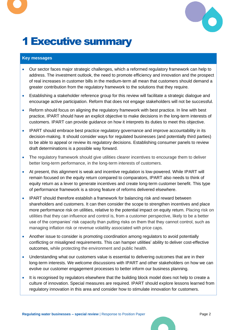

# <span id="page-2-0"></span>1Executive summary

### **Key messages**

- Our sector faces major strategic challenges, which a reformed regulatory framework can help to address. The investment outlook, the need to promote efficiency and innovation and the prospect of real increases in customer bills in the medium-term all mean that customers should demand a greater contribution from the regulatory framework to the solutions that they require.
- Establishing a stakeholder reference group for this review will facilitate a strategic dialogue and encourage active participation. Reform that does not engage stakeholders will not be successful.
- Reform should focus on aligning the regulatory framework with best practice. In line with best practice, IPART should have an explicit objective to make decisions in the long-term interests of customers. IPART can provide guidance on how it interprets its duties to meet this objective.
- IPART should embrace best practice regulatory governance and improve accountability in its decision-making. It should consider ways for regulated businesses (and potentially third parties) to be able to appeal or review its regulatory decisions. Establishing consumer panels to review draft determinations is a possible way forward.
- The regulatory framework should give utilities clearer incentives to encourage them to deliver better long-term performance, in the long-term interests of customers.
- At present, this alignment is weak and incentive regulation is low-powered. While IPART will remain focused on the equity return compared to comparators, IPART also needs to think of equity return as a lever to generate incentives and create long-term customer benefit. This type of performance framework is a strong feature of reforms delivered elsewhere.
- IPART should therefore establish a framework for balancing risk and reward between shareholders and customers. It can then consider the scope to strengthen incentives and place more performance risk on utilities, relative to the potential impact on equity return. Placing risk on utilities that they can influence and control is, from a customer perspective, likely to be a better use of the companies' risk capacity than putting risks on them that they cannot control, such as managing inflation risk or revenue volatility associated with price caps.
- Another issue to consider is promoting coordination among regulators to avoid potentially conflicting or misaligned requirements. This can hamper utilities' ability to deliver cost-effective outcomes, while protecting the environment and public health.
- Understanding what our customers value is essential to delivering outcomes that are in their long-term interests. We welcome discussions with IPART and other stakeholders on how we can evolve our customer engagement processes to better inform our business planning.
- It is recognised by regulators elsewhere that the building block model does not help to create a culture of innovation. Special measures are required. IPART should explore lessons learned from regulatory innovation in this area and consider how to stimulate innovation for customers.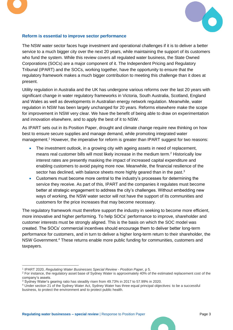



### **Reform is essential to improve sector performance**

The NSW water sector faces huge investment and operational challenges if it is to deliver a better service to a much bigger city over the next 20 years, while maintaining the support of its customers who fund the system. While this review covers all regulated water business, the State Owned Corporations (SOCs) are a major component of it. The Independent Pricing and Regulatory Tribunal (IPART) and the SOCs, working together, have the opportunity to ensure that the regulatory framework makes a much bigger contribution to meeting this challenge than it does at present.

Utility regulation in Australia and the UK has undergone various reforms over the last 20 years with significant change in water regulatory frameworks in Victoria, South Australia, Scotland, England and Wales as well as developments in Australian energy network regulation. Meanwhile, water regulation in NSW has been largely unchanged for 20 years. Reforms elsewhere make the scope for improvement in NSW very clear. We have the benefit of being able to draw on experimentation and innovation elsewhere, and to apply the best of it to NSW.

As IPART sets out in its Position Paper, drought and climate change require new thinking on how best to ensure secure supplies and manage demand, while promoting integrated water management.<sup>1</sup> However, the imperative for reform is greater than IPART suggest for two reasons:

- The investment outlook, in a growing city with ageing assets in need of replacement, means real customer bills will most likely increase in the medium term. <sup>2</sup> Historically low interest rates are presently masking the impact of increased capital expenditure and enabling customers to avoid paying more now. Meanwhile, the financial resilience of the sector has declined, with balance sheets more highly geared than in the past.<sup>3</sup>
- Customers must become more central to the industry's processes for determining the service they receive. As part of this, IPART and the companies it regulates must become better at strategic engagement to address the city's challenges. Without embedding new ways of working, the NSW water sector will not have the support of its communities and customers for the price increases that may become necessary.

The regulatory framework must therefore support the industry in seeking to become more efficient, more innovative and higher performing. To help SOCs' performance to improve, shareholder and customer interests must be strongly aligned. This is the basis on which the SOC model was created. The SOCs' commercial incentives should encourage them to deliver better long-term performance for customers, and in turn to deliver a higher long-term return to their shareholder, the NSW Government.<sup>4</sup> These returns enable more public funding for communities, customers and taxpayers.

<sup>1</sup> IPART 2020, *Regulating Water Businesses Special Review - Position Paper*, p 5.

<sup>&</sup>lt;sup>2</sup> For instance, the regulatory asset base of Sydney Water is approximately 40% of the estimated replacement cost of the company's assets.

<sup>3</sup> Sydney Water's gearing ratio has steadily risen from 49.73% in 2017 to 57.99% in 2020.

<sup>4</sup> Under section 21 of the Sydney Water Act, Sydney Water has three equal principal objectives: to be a successful business, to protect the environment and to protect public health.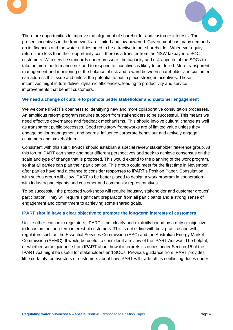



There are opportunities to improve the alignment of shareholder and customer interests. The present incentives in the framework are limited and low-powered. Government has many demands on its finances and the water utilities need to be attractive to our shareholder. Whenever equity returns are less than their opportunity cost, there is a transfer from the NSW taxpayer to SOC customers. With service standards under pressure, the capacity and risk appetite of the SOCs to take on more performance risk and to respond to incentives is likely to be dulled. More transparent management and monitoring of the balance of risk and reward between shareholder and customer can address this issue and unlock the potential to put in place stronger incentives. These incentives might in turn deliver dynamic efficiencies, leading to productivity and service improvements that benefit customers.

#### **We need a change of culture to promote better stakeholder and customer engagement**

We welcome IPART's openness to identifying new and more collaborative consultation processes. An ambitious reform program requires support from stakeholders to be successful. This means we need effective governance and feedback mechanisms. This should involve cultural change as well as transparent public processes. Good regulatory frameworks are of limited value unless they engage senior management and boards, influence corporate behaviour and actively engage customers and stakeholders.

Consistent with this spirit, IPART should establish a special review stakeholder reference group. At this forum IPART can share and hear different perspectives and seek to achieve consensus on the scale and type of change that is proposed. This would extend to the planning of the work program, so that all parties can plan their participation. This group could meet for the first time in November, after parties have had a chance to consider responses to IPART's Position Paper. Consultation with such a group will allow IPART to be better placed to design a work program in cooperation with industry participants and customer and community representatives.

To be successful, the proposed workshops will require industry, stakeholder and customer groups' participation. They will require significant preparation from all participants and a strong sense of engagement and commitment to achieving some shared goals.

#### **IPART should have a clear objective to promote the long-term interests of customers**

Unlike other economic regulators, IPART is not clearly and explicitly bound by a duty or objective to focus on the long-term interest of customers. This is out of line with best practice and with regulators such as the Essential Services Commission (ESC) and the Australian Energy Market Commission (AEMC). It would be useful to consider if a review of the IPART Act would be helpful, or whether some guidance from IPART about how it interprets its duties under Section 15 of the IPART Act might be useful for stakeholders and SOCs. Previous guidance from IPART provides little certainty for investors or customers about how IPART will trade-off its conflicting duties under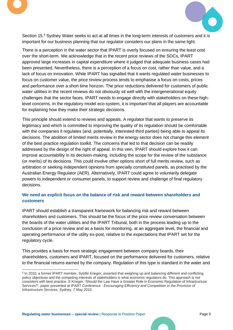



Section 15.<sup>5</sup> Sydney Water seeks to act at all times in the long-term interests of customers and it is important for our business planning that our regulator considers our plans in the same light.

There is a perception in the water sector that IPART is overly focused on ensuring the least cost over the short-term. We acknowledge that in the recent price reviews of the SOCs, IPART approved large increases in capital expenditure where it judged that adequate business cases had been presented. Nevertheless, there is a perception of a focus on cost, rather than value, and a lack of focus on innovation. While IPART has signalled that it wants regulated water businesses to focus on customer value, the price review process tends to emphasise a focus on costs, prices and performance over a short time horizon. The price reductions delivered for customers of public water utilities in the recent reviews do not obviously sit well with the intergenerational equity challenges that the sector faces. IPART needs to engage directly with stakeholders on these highlevel concerns. In the regulatory model eco-system, it is important that all players are accountable for explaining how they make their strategic decisions.

This principle should extend to reviews and appeals. A regulator that wants to preserve its legitimacy and which is committed to improving the quality of its regulation should be comfortable with the companies it regulates (and, potentially, interested third parties) being able to appeal its decisions. The abolition of limited merits review in the energy sector does not change this element of the best practice regulation toolkit. The concerns that led to that decision can be readily addressed by the design of the right of appeal. In this vein, IPART should explore how it can improve accountability in its decision-making, including the scope for the review of the substance (or merits) of its decisions. This could involve other options short of full merits review, such as arbitration or seeking independent opinions from specially constituted panels, as practised by the Australian Energy Regulator (AER). Alternatively, IPART could agree to voluntarily delegate powers to independent or consumer panels, to support review and challenge of final regulatory decisions.

### **We need an explicit focus on the balance of risk and reward between shareholders and customers**

IPART should establish a transparent framework for balancing risk and reward between shareholders and customers. This should be the focus of the price review conversation between the boards of the water utilities and the IPART Tribunal, both in the process leading up to the conclusion of a price review and as a basis for monitoring, at an aggregate level, the financial and operating performance of the utility ex-post, relative to the expectations that IPART set for the regulatory cycle.

This provides a basis for more strategic engagement between company boards, their shareholders, customers and IPART, focused on the performance delivered for customers, relative to the financial returns earned by the company. Regulation of this type is standard in the water and

<sup>&</sup>lt;sup>5</sup> In 2010, a former IPART member, Sybille Krieger, asserted that weighing up and balancing different and conflicting policy objectives and the competing interests of stakeholders is what economic regulators do. This approach is not consistent with best practice. S Krieger, 'Should the Law Have a Greater Role in Economic Regulation of Infrastructure Services?', paper presented at IPART Conference - *Encouraging Efficiency and Competition in the Provision of Infrastructure Services*, Sydney, 7 May 2010.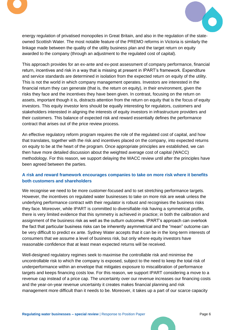



energy regulation of privatised monopolies in Great Britain, and also in the regulation of the stateowned Scottish Water. The most notable feature of the PREMO reforms in Victoria is similarly the linkage made between the quality of the utility business plan and the target return on equity awarded to the company (through an adjustment to the regulated cost of capital).

This approach provides for an ex-ante and ex-post assessment of company performance, financial return, incentives and risk in a way that is missing at present in IPART's framework. Expenditure and service standards are determined in isolation from the expected return on equity of the utility. This is not the world in which company management operates. Investors are interested in the financial return they can generate (that is, the return on equity), in their environment, given the risks they face and the incentives they have been given. In contrast, focusing on the return on assets, important though it is, distracts attention from the return on equity that is the focus of equity investors. This equity investor lens should be equally interesting for regulators, customers and stakeholders interested in aligning the interests of equity investors in infrastructure providers and their customers. This balance of expected risk and reward essentially defines the performance contract that arises out of the price review process.

An effective regulatory reform program requires the role of the regulated cost of capital, and how that translates, together with the risk and incentives placed on the company, into expected returns on equity to be at the heart of the program. Once appropriate principles are established, we can then have more detailed discussion about the weighted average cost of capital (WACC) methodology. For this reason, we support delaying the WACC review until after the principles have been agreed between the parties.

### **A risk and reward framework encourages companies to take on more risk where it benefits both customers and shareholders**

We recognise we need to be more customer-focused and to set stretching performance targets. However, the incentives on regulated water businesses to take on more risk are weak unless the underlying performance contract with their regulator is robust and recognises the business risks they face. Moreover, while IPART is committed to diversifiable risk having a symmetrical profile, there is very limited evidence that this symmetry is achieved in practice; in both the calibration and assignment of the business risk as well as the outturn outcomes. IPART's approach can overlook the fact that particular business risks can be inherently asymmetrical and the "mean" outcome can be very difficult to predict ex ante. Sydney Water accepts that it can be in the long-term interests of consumers that we assume a level of business risk, but only where equity investors have reasonable confidence that at least mean expected returns will be received.

Well-designed regulatory regimes seek to maximise the controllable risk and minimise the uncontrollable risk to which the company is exposed, subject to the need to keep the total risk of underperformance within an envelope that mitigates exposure to miscalibration of performance targets and keeps financing costs low. For this reason, we support IPART considering a move to a revenue cap instead of a price cap. The uncertainty over our revenue increases our financing costs and the year-on-year revenue uncertainty it creates makes financial planning and risk management more difficult than it needs to be. Moreover, it takes up a part of our scarce capacity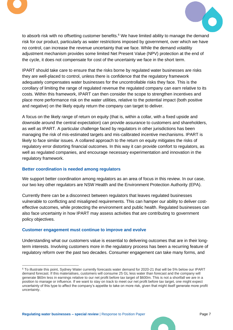



to absorb risk with no offsetting customer benefits. <sup>6</sup> We have limited ability to manage the demand risk for our product, particularly as water restrictions imposed by government, over which we have no control, can increase the revenue uncertainty that we face. While the demand volatility adjustment mechanism provides some limited Net Present Value (NPV) protection at the end of the cycle, it does not compensate for cost of the uncertainty we face in the short term.

IPART should take care to ensure that the risks borne by regulated water businesses are risks they are well-placed to control, unless there is confidence that the regulatory framework adequately compensates water businesses for the uncontrollable risks they face. This is the corollary of limiting the range of regulated revenue the regulated company can earn relative to its costs. Within this framework, IPART can then consider the scope to strengthen incentives and place more performance risk on the water utilities, relative to the potential impact (both positive and negative) on the likely equity return the company can target to deliver.

A focus on the likely range of return on equity (that is, within a collar, with a fixed upside and downside around the central expectation) can provide assurance to customers and shareholders, as well as IPART. A particular challenge faced by regulators in other jurisdictions has been managing the risk of mis-estimated targets and mis-calibrated incentive mechanisms. IPART is likely to face similar issues. A collared approach to the return on equity mitigates the risks of regulatory error distorting financial outcomes. In this way it can provide comfort to regulators, as well as regulated companies, and encourage necessary experimentation and innovation in the regulatory framework.

#### **Better coordination is needed among regulators**

We support better coordination among regulators as an area of focus in this review. In our case, our two key other regulators are NSW Health and the Environment Protection Authority (EPA).

Currently there can be a disconnect between regulators that leaves regulated businesses vulnerable to conflicting and misaligned requirements. This can hamper our ability to deliver costeffective outcomes, while protecting the environment and public health. Regulated businesses can also face uncertainty in how IPART may assess activities that are contributing to government policy objectives.

#### **Customer engagement must continue to improve and evolve**

Understanding what our customers value is essential to delivering outcomes that are in their longterm interests. Involving customers more in the regulatory process has been a recurring feature of regulatory reform over the past two decades. Consumer engagement can take many forms, and

<sup>6</sup> To illustrate this point, Sydney Water currently forecasts water demand for 2020-21 that will be 5% below our IPART demand forecast. If this materialises, customers will consume 25 GL less water than forecast and the company will generate \$60m less in earnings relative to our net profit before tax target of \$600m. This is not a shortfall we are in a position to manage or influence. If we want to stay on track to meet our net profit before tax target, one might expect uncertainty of this type to affect the company's appetite to take on more risk, given that might itself generate more profit uncertainty.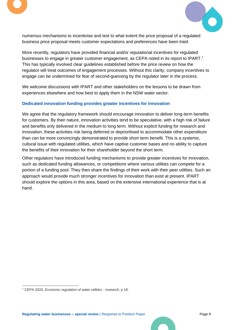



numerous mechanisms to incentivise and test to what extent the price proposal of a regulated business price proposal meets customer expectations and preferences have been tried.

More recently, regulators have provided financial and/or reputational incentives for regulated businesses to engage in greater customer engagement, as CEPA noted in its report to IPART.<sup>7</sup> This has typically involved clear guidelines established before the price review on how the regulator will treat outcomes of engagement processes. Without this clarity, company incentives to engage can be undermined for fear of second-guessing by the regulator later in the process.

We welcome discussions with IPART and other stakeholders on the lessons to be drawn from experiences elsewhere and how best to apply them in the NSW water sector.

### **Dedicated innovation funding provides greater incentives for innovation**

We agree that the regulatory framework should encourage innovation to deliver long-term benefits for customers. By their nature, innovation activities tend to be speculative, with a high risk of failure and benefits only delivered in the medium to long term. Without explicit funding for research and innovation, these activities risk being deferred or deprioritised to accommodate other expenditure than can be more convincingly demonstrated to provide short term benefit. This is a systemic, cultural issue with regulated utilities, which have captive customer bases and no ability to capture the benefits of their innovation for their shareholder beyond the short term.

Other regulators have introduced funding mechanisms to provide greater incentives for innovation, such as dedicated funding allowances, or competitions where various utilities can compete for a portion of a funding pool. They then share the findings of their work with their peer utilities. Such an approach would provide much stronger incentives for innovation than exist at present. IPART should explore the options in this area, based on the extensive international experience that is at hand.

<sup>7</sup> CEPA 2020, *Economic regulation of water utilities - research*, p 18.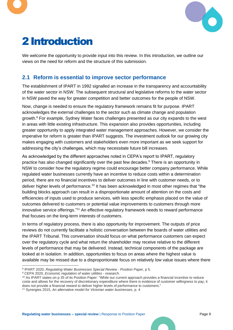

# <span id="page-9-0"></span>2Introduction

We welcome the opportunity to provide input into this review. In this introduction, we outline our views on the need for reform and the structure of this submission.

# <span id="page-9-1"></span>**2.1 Reform is essential to improve sector performance**

The establishment of IPART in 1992 signalled an increase in the transparency and accountability of the water sector in NSW. The subsequent structural and legislative reforms to the water sector in NSW paved the way for greater competition and better outcomes for the people of NSW.

Now, change is needed to ensure the regulatory framework remains fit for purpose. IPART acknowledges the external challenges to the sector such as climate change and population growth. <sup>8</sup> For example, Sydney Water faces challenges presented as our city expands to the west in areas with little existing infrastructure. This expansion also provides opportunities, including greater opportunity to apply integrated water management approaches. However, we consider the imperative for reform is greater than IPART suggests. The investment outlook for our growing city makes engaging with customers and stakeholders even more important as we seek support for addressing the city's challenges, which may necessitate future bill increases.

As acknowledged by the different approaches noted in CEPA's report to IPART, regulatory practice has also changed significantly over the past few decades.<sup>9</sup> There is an opportunity in NSW to consider how the regulatory regime could encourage better company performance. While regulated water businesses currently have an incentive to reduce costs within a determination period, there are no financial incentives to deliver outcomes in line with customer needs, or to deliver higher levels of performance.<sup>10</sup> It has been acknowledged in most other regimes that "the building blocks approach can result in a disproportionate amount of attention on the costs and efficiencies of inputs used to produce services, with less specific emphasis placed on the value of outcomes delivered to customers or potential value improvements to customers through more innovative service offerings."<sup>11</sup> An effective regulatory framework needs to reward performance that focuses on the long-term interests of customers.

In terms of regulatory process, there is also opportunity for improvement. The outputs of price reviews do not currently facilitate a holistic conversation between the boards of water utilities and the IPART Tribunal. This conversation should focus on what performance customers can expect over the regulatory cycle and what return the shareholder may receive relative to the different levels of performance that may be delivered. Instead, technical components of the package are looked at in isolation. In addition, opportunities to focus on areas where the highest value is available may be missed due to a disproportionate focus on relatively low value issues where there

<sup>9</sup> CEPA 2020, *Economic regulation of water utilities - research*.

<sup>8</sup> IPART 2020, *Regulating Water Businesses Special Review - Position Paper*, p 5.

<sup>&</sup>lt;sup>10</sup> As IPART states on p 35 of its Position Paper: "While our current approach provides a financial incentive to reduce costs and allows for the recovery of discretionary expenditure where there is evidence of customer willingness to pay, it does not provide a financial reward to deliver higher levels of performance to customers."

<sup>11</sup> Synergies 2015, *An alternative model for Victorian water businesses*, p. 4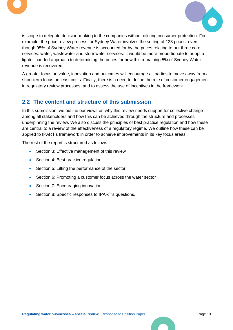



is scope to delegate decision-making to the companies without diluting consumer protection. For example, the price review process for Sydney Water involves the setting of 128 prices, even though 95% of Sydney Water revenue is accounted for by the prices relating to our three core services: water, wastewater and stormwater services. It would be more proportionate to adopt a lighter-handed approach to determining the prices for how this remaining 5% of Sydney Water revenue is recovered.

A greater focus on value, innovation and outcomes will encourage all parties to move away from a short-term focus on least costs. Finally, there is a need to define the role of customer engagement in regulatory review processes, and to assess the use of incentives in the framework.

### <span id="page-10-0"></span>**2.2 The content and structure of this submission**

In this submission, we outline our views on why this review needs support for collective change among all stakeholders and how this can be achieved through the structure and processes underpinning the review. We also discuss the principles of best practice regulation and how these are central to a review of the effectiveness of a regulatory regime. We outline how these can be applied to IPART's framework in order to achieve improvements in its key focus areas.

The rest of the report is structured as follows:

- Section 3: Effective management of this review
- Section 4: Best practice regulation
- Section 5: Lifting the performance of the sector
- Section 6: Promoting a customer focus across the water sector
- Section 7: Encouraging innovation
- Section 8: Specific responses to IPART's questions.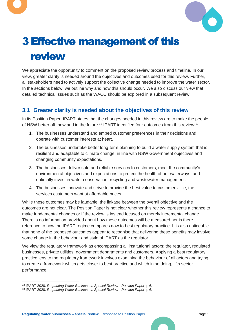



# <span id="page-11-0"></span>3Effective management of this review

We appreciate the opportunity to comment on the proposed review process and timeline. In our view, greater clarity is needed around the objectives and outcomes used for this review. Further, all stakeholders need to actively support the collective change needed to improve the water sector. In the sections below, we outline why and how this should occur. We also discuss our view that detailed technical issues such as the WACC should be explored in a subsequent review.

# <span id="page-11-1"></span>**3.1 Greater clarity is needed about the objectives of this review**

In its Position Paper, IPART states that the changes needed in this review are to make the people of NSW better off, now and in the future.<sup>12</sup> IPART identified four outcomes from this review:<sup>13</sup>

- 1. The businesses understand and embed customer preferences in their decisions and operate with customer interests at heart.
- 2. The businesses undertake better long-term planning to build a water supply system that is resilient and adaptable to climate change, in line with NSW Government objectives and changing community expectations.
- 3. The businesses deliver safe and reliable services to customers, meet the community's environmental objectives and expectations to protect the health of our waterways, and optimally invest in water conservation, recycling and wastewater management.
- 4. The businesses innovate and strive to provide the best value to customers ie, the services customers want at affordable prices.

While these outcomes may be laudable, the linkage between the overall objective and the outcomes are not clear. The Position Paper is not clear whether this review represents a chance to make fundamental changes or if the review is instead focused on merely incremental change. There is no information provided about how these outcomes will be measured nor is there reference to how the IPART regime compares now to best regulatory practice. It is also noticeable that none of the proposed outcomes appear to recognise that delivering these benefits may involve some change in the behaviour and style of IPART as the regulator.

We view the regulatory framework as encompassing all institutional actors: the regulator, regulated businesses, private utilities, government departments and customers. Applying a best regulatory practice lens to the regulatory framework involves examining the behaviour of all actors and trying to create a framework which gets closer to best practice and which in so doing, lifts sector performance.

<sup>12</sup> IPART 2020, *Regulating Water Businesses Special Review - Position Paper*, p 6.

<sup>13</sup> IPART 2020, *Regulating Water Businesses Special Review - Position Paper*, p 6.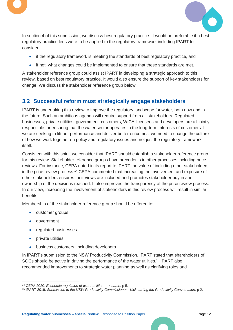



In section 4 of this submission, we discuss best regulatory practice. It would be preferable if a best regulatory practice lens were to be applied to the regulatory framework including IPART to consider:

- if the regulatory framework is meeting the standards of best regulatory practice, and
- if not, what changes could be implemented to ensure that these standards are met.

A stakeholder reference group could assist IPART in developing a strategic approach to this review, based on best regulatory practice. It would also ensure the support of key stakeholders for change. We discuss the stakeholder reference group below.

# <span id="page-12-0"></span>**3.2 Successful reform must strategically engage stakeholders**

IPART is undertaking this review to improve the regulatory landscape for water, both now and in the future. Such an ambitious agenda will require support from all stakeholders. Regulated businesses, private utilities, government, customers, WICA licensees and developers are all jointly responsible for ensuring that the water sector operates in the long-term interests of customers. If we are seeking to lift our performance and deliver better outcomes, we need to change the culture of how we work together on policy and regulatory issues and not just the regulatory framework itself.

Consistent with this spirit, we consider that IPART should establish a stakeholder reference group for this review. Stakeholder reference groups have precedents in other processes including price reviews. For instance, CEPA noted in its report to IPART the value of including other stakeholders in the price review process.<sup>14</sup> CEPA commented that increasing the involvement and exposure of other stakeholders ensures their views are included and promotes stakeholder buy in and ownership of the decisions reached. It also improves the transparency of the price review process. In our view, increasing the involvement of stakeholders in this review process will result in similar benefits.

Membership of the stakeholder reference group should be offered to:

- customer groups
- government
- regulated businesses
- private utilities
- business customers, including developers.

In IPART's submission to the NSW Productivity Commission, IPART stated that shareholders of SOCs should be active in driving the performance of the water utilities.<sup>15</sup> IPART also recommended improvements to strategic water planning as well as clarifying roles and

<sup>14</sup> CEPA 2020, *Economic regulation of water utilities - research*, p 5.

<sup>15</sup> IPART 2019, *Submission to the NSW Productivity Commissioner - Kickstarting the Productivity Conversation,* p 2.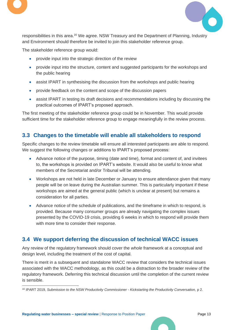



responsibilities in this area. <sup>16</sup> We agree. NSW Treasury and the Department of Planning, Industry and Environment should therefore be invited to join this stakeholder reference group.

The stakeholder reference group would:

- provide input into the strategic direction of the review
- provide input into the structure, content and suggested participants for the workshops and the public hearing
- assist IPART in synthesising the discussion from the workshops and public hearing
- provide feedback on the content and scope of the discussion papers
- assist IPART in testing its draft decisions and recommendations including by discussing the practical outcomes of IPART's proposed approach.

The first meeting of the stakeholder reference group could be in November. This would provide sufficient time for the stakeholder reference group to engage meaningfully in the review process.

### <span id="page-13-0"></span>**3.3 Changes to the timetable will enable all stakeholders to respond**

Specific changes to the review timetable will ensure all interested participants are able to respond. We suggest the following changes or additions to IPART's proposed process:

- Advance notice of the purpose, timing (date and time), format and content of, and invitees to, the workshops is provided on IPART's website. It would also be useful to know what members of the Secretariat and/or Tribunal will be attending.
- Workshops are not held in late December or January to ensure attendance given that many people will be on leave during the Australian summer. This is particularly important if these workshops are aimed at the general public (which is unclear at present) but remains a consideration for all parties.
- Advance notice of the schedule of publications, and the timeframe in which to respond, is provided. Because many consumer groups are already navigating the complex issues presented by the COVID-19 crisis, providing 6 weeks in which to respond will provide them with more time to consider their response.

# <span id="page-13-1"></span>**3.4 We support deferring the discussion of technical WACC issues**

Any review of the regulatory framework should cover the *whole* framework at a conceptual and design level, including the treatment of the cost of capital.

There is merit in a subsequent and standalone WACC review that considers the technical issues associated with the WACC methodology, as this could be a distraction to the broader review of the regulatory framework. Deferring this technical discussion until the completion of the current review is sensible.

<sup>16</sup> IPART 2019, *Submission to the NSW Productivity Commissioner - Kickstarting the Productivity Conversation,* p 2.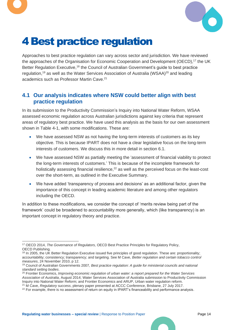



# <span id="page-14-0"></span>4Best practice regulation

Approaches to best practice regulation can vary across sector and jurisdiction. We have reviewed the approaches of the Organisation for Economic Cooperation and Development (OECD), <sup>17</sup> the UK Better Regulation Executive,<sup>18</sup> the Council of Australian Government's guide to best practice regulation,<sup>19</sup> as well as the Water Services Association of Australia (WSAA)<sup>20</sup> and leading academics such as Professor Martin Cave. 21

### <span id="page-14-1"></span>**4.1 Our analysis indicates where NSW could better align with best practice regulation**

In its submission to the Productivity Commission's Inquiry into National Water Reform, WSAA assessed economic regulation across Australian jurisdictions against key criteria that represent areas of regulatory best practice. We have used this analysis as the basis for our own assessment shown in [Table 4-1,](#page-15-0) with some modifications. These are:

- We have assessed NSW as not having the long-term interests of customers as its key objective. This is because IPART does not have a clear legislative focus on the long-term interests of customers. We discuss this in more detail in section [6.1.](#page-22-1)
- We have assessed NSW as partially meeting the 'assessment of financial viability to protect the long-term interests of customers.' This is because of the incomplete framework for holistically assessing financial resilience,<sup>22</sup> as well as the perceived focus on the least-cost over the short-term, as outlined in the Executive Summary.
- We have added 'transparency of process and decisions' as an additional factor, given the importance of this concept in leading academic literature and among other regulators including the OECD.

In addition to these modifications, we consider the concept of 'merits review being part of the framework' could be broadened to accountability more generally, which (like transparency) is an important concept in regulatory theory and practice.

<sup>17</sup> OECD 2014, *The Governance of Regulators,* OECD Best Practice Principles for Regulatory Policy, OECD Publishing.

<sup>&</sup>lt;sup>18</sup> In 2005, the UK Better Regulation Executive issued five principles of good regulation. These are: proportionality; accountability; consistency; transparency; and targeting. See M Cave, *Better regulation and certain tobacco control measures*, 24 November 2010, p 12.

<sup>19</sup> Council of Australian Governments 2007*, Best practice regulation: A guide for ministerial councils and national standard setting bodies*.

<sup>20</sup> Frontier Economics, *Improving economic regulation of urban water: a report prepared for the Water Services Association of Australia*, August 2014; Water Services Association of Australia submission to Productivity Commission Inquiry into National Water Reform; and Frontier Economics and ARUP, Urban water regulation reform. <sup>21</sup> M Cave, *Regulatory success*, plenary paper presented at ACCC Conference, Brisbane, 27 July 2017.

<sup>&</sup>lt;sup>22</sup> For example, there is no assessment of return on equity in IPART's financeability and performance analysis.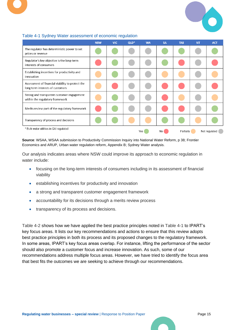

|                                                                                      | <b>NSW</b> | <b>VIC</b> | $QLD*$ | <b>WA</b> | <b>SA</b> | <b>TAS</b> | <b>NT</b> | <b>ACT</b>    |
|--------------------------------------------------------------------------------------|------------|------------|--------|-----------|-----------|------------|-----------|---------------|
| The regulator has deterministic power to set<br>prices or revenue                    |            |            |        |           |           |            |           |               |
| Regulator's key objective is the long-term<br>interests of consumers                 |            |            |        |           |           |            |           |               |
| Establishing incentives for productivity and<br>innovation                           |            |            |        |           |           |            |           |               |
| Assessment of financial viability to protect the<br>long term interests of customers |            |            |        |           |           |            |           |               |
| Strong and transparent customer engagement<br>within the regulatory framework        |            |            |        |           |           |            |           |               |
| Merits review part of the regulatory framework                                       |            |            |        |           |           |            |           |               |
| Transparency of process and decisions                                                |            |            |        |           |           |            |           |               |
| * Bulk water utilities in Qld regulated                                              |            |            |        | Yes       | No        | Partially  |           | Not regulated |

### <span id="page-15-0"></span>Table 4-1 Sydney Water assessment of economic regulation

**Source**: WSAA, WSAA submission to Productivity Commission Inquiry into National Water Reform, p 38; Frontier Economics and ARUP, Urban water regulation reform, Appendix B; Sydney Water analysis.

Our analysis indicates areas where NSW could improve its approach to economic regulation in water include:

- focusing on the long-term interests of consumers including in its assessment of financial viability
- establishing incentives for productivity and innovation
- a strong and transparent customer engagement framework
- accountability for its decisions through a merits review process
- transparency of its process and decisions.

[Table 4-2](#page-16-0) shows how we have applied the best practice principles noted in [Table 4-1](#page-15-0) to IPART's key focus areas. It lists our key recommendations and actions to ensure that this review adopts best practice principles in both its process and its proposed changes to the regulatory framework. In some areas, IPART's key focus areas overlap. For instance, lifting the performance of the sector should also promote a customer focus and increase innovation. As such, some of our recommendations address multiple focus areas. However, we have tried to identify the focus area that best fits the outcomes we are seeking to achieve through our recommendations.

8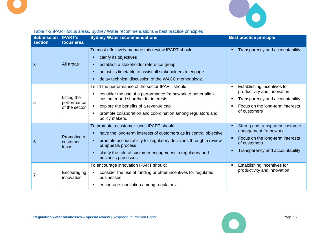

<span id="page-16-0"></span>

| <b>Submission</b><br><b>section</b> | <b>IPART's</b><br>focus area                | <b>Sydney Water recommendations</b>                                                                                                                                                                                                                                                                | <b>Best practice principle</b>                                                                                                                    |
|-------------------------------------|---------------------------------------------|----------------------------------------------------------------------------------------------------------------------------------------------------------------------------------------------------------------------------------------------------------------------------------------------------|---------------------------------------------------------------------------------------------------------------------------------------------------|
| 3                                   | All areas                                   | To most effectively manage this review IPART should:<br>clarify its objectives<br>establish a stakeholder reference group<br>adjust its timetable to assist all stakeholders to engage<br>delay technical discussion of the WACC methodology.                                                      | Transparency and accountability                                                                                                                   |
| 5                                   | Lifting the<br>performance<br>of the sector | To lift the performance of the sector IPART should:<br>consider the use of a performance framework to better align<br>customer and shareholder interests<br>explore the benefits of a revenue cap<br>promote collaboration and coordination among regulators and<br>policy makers.                 | Establishing incentives for<br>productivity and innovation<br>Transparency and accountability<br>Focus on the long-term interests<br>of customers |
| 6                                   | Promoting a<br>customer<br>focus            | To promote a customer focus IPART should:<br>have the long-term interests of customers as its central objective<br>п<br>promote accountability for regulatory decisions through a review<br>or appeals process<br>clarify the role of customer engagement in regulatory and<br>business processes. | Strong and transparent customer<br>engagement framework<br>Focus on the long-term interests<br>of customers<br>Transparency and accountability    |
|                                     | Encouraging<br>innovation                   | To encourage innovation IPART should:<br>consider the use of funding or other incentives for regulated<br>businesses<br>encourage innovation among regulators.                                                                                                                                     | Establishing incentives for<br>productivity and innovation                                                                                        |

# Table 4-2 IPART focus areas, Sydney Water recommendations & best practice principles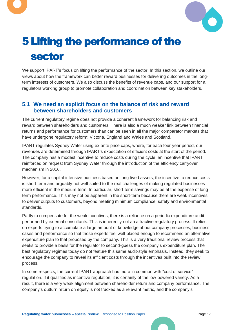



# <span id="page-17-0"></span>5Lifting the performance of the sector

We support IPART's focus on lifting the performance of the sector. In this section, we outline our views about how the framework can better reward businesses for delivering outcomes in the longterm interests of customers. We also discuss the benefits of revenue caps, and our support for a regulators working group to promote collaboration and coordination between key stakeholders.

### <span id="page-17-1"></span>**5.1 We need an explicit focus on the balance of risk and reward between shareholders and customers**

The current regulatory regime does not provide a coherent framework for balancing risk and reward between shareholders and customers. There is also a much weaker link between financial returns and performance for customers than can be seen in all the major comparator markets that have undergone regulatory reform: Victoria, England and Wales and Scotland.

IPART regulates Sydney Water using ex-ante price caps, where, for each four-year period, our revenues are determined through IPART's expectation of efficient costs at the start of the period. The company has a modest incentive to reduce costs during the cycle, an incentive that IPART reinforced on request from Sydney Water through the introduction of the efficiency carryover mechanism in 2016.

However, for a capital-intensive business based on long-lived assets, the incentive to reduce costs is short-term and arguably not well-suited to the real challenges of making regulated businesses more efficient in the medium-term. In particular, short-term savings may be at the expense of longterm performance. This may not be apparent in the short-term because there are weak incentives to deliver outputs to customers, beyond meeting minimum compliance, safety and environmental standards.

Partly to compensate for the weak incentives, there is a reliance on a periodic expenditure audit, performed by external consultants. This is inherently not an attractive regulatory process. It relies on experts trying to accumulate a large amount of knowledge about company processes, business cases and performance so that those experts feel well-placed enough to recommend an alternative expenditure plan to that proposed by the company. This is a very traditional review process that seeks to provide a basis for the regulator to second-guess the company's expenditure plan. The best regulatory regimes today do not feature this same audit-style emphasis. Instead, they seek to encourage the company to reveal its efficient costs through the incentives built into the review process.

In some respects, the current IPART approach has more in common with "cost of service" regulation. If it qualifies as incentive regulation, it is certainly of the low-powered variety. As a result, there is a very weak alignment between shareholder return and company performance. The company's outturn return on equity is not tracked as a relevant metric, and the company's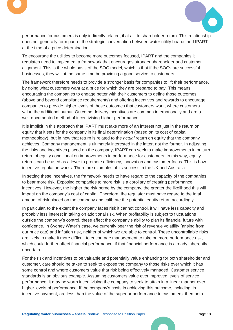



performance for customers is only indirectly related, if at all, to shareholder return. This relationship does not generally form part of the strategic conversation between water utility boards and IPART at the time of a price determination.

To encourage the utilities to become more outcomes focused, IPART and the companies it regulates need to implement a framework that encourages stronger shareholder and customer alignment. This is the whole basis of the SOC model, which is that if the SOCs are successful businesses, they will at the same time be providing a good service to customers.

The framework therefore needs to provide a stronger basis for companies to lift their performance, by doing what customers want at a price for which they are prepared to pay. This means encouraging the companies to engage better with their customers to define those outcomes (above and beyond compliance requirements) and offering incentives and rewards to encourage companies to provide higher levels of those outcomes that customers want, where customers value the additional output. Outcome delivery incentives are common internationally and are a well-documented method of incentivising higher performance.

It is implicit in this approach that IPART must take more of an interest not just in the return on equity that it sets for the company in its final determination (based on its cost of capital methodology), but in how that return is related to the *actual* return on equity that the company achieves. Company management is ultimately interested in the latter, not the former. In adjusting the risks and incentives placed on the company, IPART can seek to make improvements in outturn return of equity conditional on improvements in performance for customers. In this way, equity returns can be used as a lever to promote efficiency, innovation and customer focus. This is how incentive regulation works. There are examples of its success in the UK and Australia.

In setting these incentives, the framework needs to have regard to the capacity of the companies to bear more risk. Exposing companies to more risk is a corollary of creating performance incentives. However, the higher the risk borne by the company, the greater the likelihood this will impact on the company's cost of capital. Therefore, the regulator must have regard to the total amount of risk placed on the company and calibrate the potential equity return accordingly.

In particular, to the extent the company faces risk it cannot control, it will have less capacity and probably less interest in taking on additional risk. When profitability is subject to fluctuations outside the company's control, these affect the company's ability to plan its financial future with confidence. In Sydney Water's case, we currently bear the risk of revenue volatility (arising from our price cap) and inflation risk, neither of which we are able to control. These uncontrollable risks are likely to make it more difficult to encourage management to take on more performance risk, which could further affect financial performance, if that financial performance is already inherently uncertain.

For the risk and incentives to be valuable and potentially value enhancing for both shareholder and customer, care should be taken to seek to expose the company to those risks over which it has some control and where customers value that risk being effectively managed. Customer service standards is an obvious example. Assuming customers value ever improved levels of service performance, it may be worth incentivising the company to seek to attain in a linear manner ever higher levels of performance. If the company's costs in achieving this outcome, including its incentive payment, are less than the value of the superior performance to customers, then both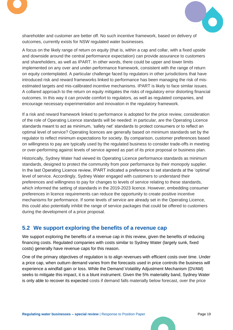



shareholder and customer are better off. No such incentive framework, based on delivery of outcomes, currently exists for NSW regulated water businesses.

A focus on the likely range of return on equity (that is, within a cap and collar, with a fixed upside and downside around the central performance expectation) can provide assurance to customers and shareholders, as well as IPART. In other words, there could be upper and lower limits implemented on any over and under-performance framework, consistent with the range of return on equity contemplated. A particular challenge faced by regulators in other jurisdictions that have introduced risk and reward frameworks linked to performance has been managing the risk of misestimated targets and mis-calibrated incentive mechanisms. IPART is likely to face similar issues. A collared approach to the return on equity mitigates the risks of regulatory error distorting financial outcomes. In this way it can provide comfort to regulators, as well as regulated companies, and encourage necessary experimentation and innovation in the regulatory framework.

If a risk and reward framework linked to performance is adopted for the price review, consideration of the role of Operating Licence standards will be needed: in particular, are the Operating Licence standards meant to act as minimum, 'safety net' standards to protect consumers or to reflect an optimal level of service? Operating licences are generally based on minimum standards set by the regulator to reflect minimum expectations for society. By comparison, customer preferences based on willingness to pay are typically used by the regulated business to consider trade-offs in meeting or over-performing against levels of service agreed as part of its price proposal or business plan.

Historically, Sydney Water had viewed its Operating Licence performance standards as minimum standards, designed to protect the community from poor performance by their monopoly supplier. In the last Operating Licence review, IPART indicated a preference to set standards at the 'optimal' level of service. Accordingly, Sydney Water engaged with customers to understand their preferences and willingness to pay for changes to levels of service relating to these standards, which informed the setting of standards in the 2019-2023 licence. However, embedding consumer preferences in licence requirements can reduce the opportunity to create positive incentive mechanisms for performance. If some levels of service are already set in the Operating Licence, this could also potentially inhibit the range of service packages that could be offered to customers during the development of a price proposal.

# <span id="page-19-0"></span>**5.2 We support exploring the benefits of a revenue cap**

We support exploring the benefits of a revenue cap in this review, given the benefits of reducing financing costs. Regulated companies with costs similar to Sydney Water (largely sunk, fixed costs) generally have revenue caps for this reason.

One of the primary objectives of regulation is to align revenues with efficient costs over time. Under a price cap, when outturn demand varies from the forecasts used in price controls the business will experience a windfall gain or loss. While the Demand Volatility Adjustment Mechanism (DVAM) seeks to mitigate this impact, it is a blunt instrument. Given the 5% materiality band, Sydney Water is only able to recover its expected costs if demand falls materially below forecast, over the price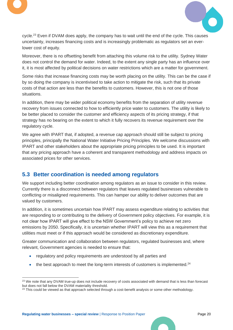



cycle.<sup>23</sup> Even if DVAM does apply, the company has to wait until the end of the cycle. This causes uncertainty, increases financing costs and is increasingly problematic as regulators set an everlower cost of equity.

Moreover, there is no offsetting benefit from attaching this volume risk to the utility. Sydney Water does not control the demand for water. Indeed, to the extent any single party has an influence over it, it is most affected by political decisions on water restrictions which are a matter for government.

Some risks that increase financing costs may be worth placing on the utility. This can be the case if by so doing the company is incentivised to take action to mitigate the risk, such that its private costs of that action are less than the benefits to customers. However, this is not one of those situations.

In addition, there may be wider political economy benefits from the separation of utility revenue recovery from issues connected to how to efficiently price water to customers. The utility is likely to be better placed to consider the customer and efficiency aspects of its pricing strategy, if that strategy has no bearing on the extent to which it fully recovers its revenue requirement over the regulatory cycle.

We agree with IPART that, if adopted, a revenue cap approach should still be subject to pricing principles, principally the National Water Initiative Pricing Principles. We welcome discussions with IPART and other stakeholders about the appropriate pricing principles to be used. It is important that any pricing approach have a coherent and transparent methodology and address impacts on associated prices for other services.

# <span id="page-20-0"></span>**5.3 Better coordination is needed among regulators**

We support including better coordination among regulators as an issue to consider in this review. Currently there is a disconnect between regulators that leaves regulated businesses vulnerable to conflicting or misaligned requirements. This can hamper our ability to deliver outcomes that are valued by customers.

In addition, it is sometimes uncertain how IPART may assess expenditure relating to activities that are responding to or contributing to the delivery of Government policy objectives. For example, it is not clear how IPART will give effect to the NSW Government's policy to achieve net zero emissions by 2050. Specifically, it is uncertain whether IPART will view this as a requirement that utilities must meet or if this approach would be considered as discretionary expenditure.

Greater communication and collaboration between regulators, regulated businesses and, where relevant, Government agencies is needed to ensure that:

- regulatory and policy requirements are understood by all parties and
- $\bullet$  the best approach to meet the long-term interests of customers is implemented.<sup>24</sup>

<sup>&</sup>lt;sup>23</sup> We note that any DVAM true-up does not include recovery of costs associated with demand that is less than forecast but does not fall below the DVAM materiality threshold.

<sup>&</sup>lt;sup>24</sup> This could be viewed as that approach selected through a cost-benefit analysis or some other methodology.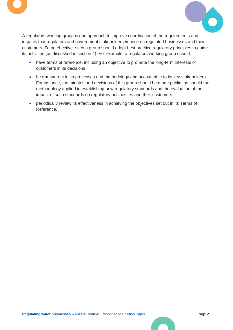



A regulators working group is one approach to improve coordination of the requirements and impacts that regulators and government stakeholders impose on regulated businesses and their customers. To be effective, such a group should adopt best practice regulatory principles to guide its activities (as discussed in section 4). For example, a regulators working group should:

- have terms of reference, including an objective to promote the long-term interests of customers in its decisions
- be transparent in its processes and methodology and accountable to its key stakeholders. For instance, the minutes and decisions of this group should be made public, as should the methodology applied in establishing new regulatory standards and the evaluation of the impact of such standards on regulatory businesses and their customers
- periodically review its effectiveness in achieving the objectives set out in its Terms of Reference.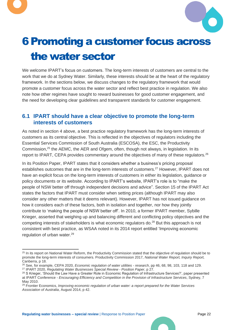



# <span id="page-22-0"></span>6Promoting a customer focus across the water sector

We welcome IPART's focus on customers. The long-term interests of customers are central to the work that we do at Sydney Water. Similarly, these interests should be at the heart of the regulatory framework. In the sections below, we discuss changes to the regulatory framework that would promote a customer focus across the water sector and reflect best practice in regulation. We also note how other regimes have sought to reward businesses for good customer engagement, and the need for developing clear guidelines and transparent standards for customer engagement.

### <span id="page-22-1"></span>**6.1 IPART should have a clear objective to promote the long-term interests of customers**

As noted in section 4 above, a best practice regulatory framework has the long-term interests of customers as its central objective. This is reflected in the objectives of regulators including the Essential Services Commission of South Australia (ESCOSA), the ESC, the Productivity Commission,<sup>25</sup> the AEMC, the AER and Ofgem, often, though not always, in legislation. In its report to IPART, CEPA provides commentary around the objectives of many of these regulators.<sup>26</sup>

In its Position Paper, IPART states that it considers whether a business's pricing proposal establishes outcomes that are in the long-term interests of customers.<sup>27</sup> However, IPART does not have an explicit focus on the long-term interests of customers in either its legislation, guidance or policy documents or its website. According to IPART's website, IPART's role is to "make the people of NSW better off through independent decisions and advice". Section 15 of the IPART Act states the factors that IPART must consider when setting prices (although IPART may also consider any other matters that it deems relevant). However, IPART has not issued guidance on how it considers each of these factors, both in isolation and together, nor how they jointly contribute to 'making the people of NSW better off'. In 2010, a former IPART member, Sybille Krieger, asserted that weighing up and balancing different and conflicting policy objectives and the competing interests of stakeholders is what economic regulators do.<sup>28</sup> But this approach is not consistent with best practice, as WSAA noted in its 2014 report entitled 'Improving economic regulation of urban water.<sup>29</sup>

<sup>&</sup>lt;sup>25</sup> In its report on National Water Reform, the Productivity Commission stated that the objective of regulation should be to promote the long-term interests of consumers. Productivity Commission 2017, *National Water Report, Inquiry Report,* Canberra, p 18.

<sup>26</sup> See, for example, CEPA 2020, *Economic regulation of water utilities - research*, pp 46, 68, 98, 103, 118 and 129. <sup>27</sup> IPART 2020, *Regulating Water Businesses Special Review - Position Paper*, p 27.

<sup>&</sup>lt;sup>28</sup> S Krieger, 'Should the Law Have a Greater Role in Economic Regulation of Infrastructure Services?', paper presented at IPART Conference - *Encouraging Efficiency and Competition in the Provision of Infrastructure Services*, Sydney, 7 May 2010.

<sup>29</sup> Frontier Economics, *Improving economic regulation of urban water: a report prepared for the Water Services Association of Australia*, August 2014, p 42.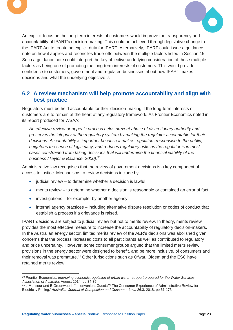



An explicit focus on the long-term interests of customers would improve the transparency and accountability of IPART's decision-making. This could be achieved through legislative change to the IPART Act to create an explicit duty for IPART. Alternatively, IPART could issue a guidance note on how it applies and reconciles trade-offs between the multiple factors listed in Section 15. Such a guidance note could interpret the key objective underlying consideration of these multiple factors as being one of promoting the long-term interests of customers. This would provide confidence to customers, government and regulated businesses about how IPART makes decisions and what the underlying objective is.

### <span id="page-23-0"></span>**6.2 A review mechanism will help promote accountability and align with best practice**

Regulators must be held accountable for their decision-making if the long-term interests of customers are to remain at the heart of any regulatory framework. As Frontier Economics noted in its report produced for WSAA:

*An effective review or appeals process helps prevent abuse of discretionary authority and preserves the integrity of the regulatory system by making the regulator accountable for their decisions. Accountability is important because it makes regulators responsive to the public, heightens the sense of legitimacy, and reduces regulatory risks as the regulator is in most cases constrained from taking decisions that will undermine the financial viability of the business (Taylor & Ballance, 2000).<sup>30</sup>*

Administrative law recognises that the review of government decisions is a key component of access to justice. Mechanisms to review decisions include by:

- judicial review to determine whether a decision is lawful
- merits review to determine whether a decision is reasonable or contained an error of fact
- investigations for example, by another agency
- internal agency practices including alternative dispute resolution or codes of conduct that establish a process if a grievance is raised.

IPART decisions are subject to judicial review but not to merits review. In theory, merits review provides the most effective measure to increase the accountability of regulatory decision-makers. In the Australian energy sector, limited merits review of the AER's decisions was abolished given concerns that the process increased costs to all participants as well as contributed to regulatory and price uncertainty. However, some consumer groups argued that the limited merits review provisions in the energy sector were designed to benefit, and be more inclusive, of consumers and their removal was premature.<sup>31</sup> Other jurisdictions such as Ofwat, Ofgem and the ESC have retained merits review.

<sup>30</sup> Frontier Economics, *Improving economic regulation of urban water: a report prepared for the Water Services Association of Australia*, August 2014, pp 34-35.

<sup>31</sup> J Mansour and B Greenwood, '"Inconvenient Guests"? The Consumer Experience of Administrative Review for Electricity Pricing,' *Australian Journal of Competition and Consumer Law,* 26.3, 2018, pp 61-173.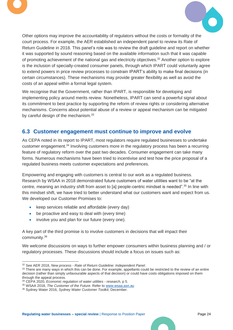



Other options may improve the accountability of regulators without the costs or formality of the court process. For example, the AER established an independent panel to review its Rate of Return Guideline in 2018. This panel's role was to review the draft guideline and report on whether it was supported by sound reasoning based on the available information such that it was capable of promoting achievement of the national gas and electricity objectives. <sup>32</sup> Another option to explore is the inclusion of specially-created consumer panels, through which IPART could voluntarily agree to extend powers in price review processes to constrain IPART's ability to make final decisions (in certain circumstances). These mechanisms may provide greater flexibility as well as avoid the costs of an appeal within a formal legal system.

We recognise that the Government, rather than IPART, is responsible for developing and implementing policy around merits review. Nonetheless, IPART can send a powerful signal about its commitment to best practice by supporting the reform of review rights or considering alternative mechanisms. Concerns about potential abuse of a review or appeal mechanism can be mitigated by careful design of the mechanism.<sup>33</sup>

### <span id="page-24-0"></span>**6.3 Customer engagement must continue to improve and evolve**

As CEPA noted in its report to IPART, most regulators require regulated businesses to undertake customer engagement.<sup>34</sup> Involving customers more in the regulatory process has been a recurring feature of regulatory reform over the past two decades. Consumer engagement can take many forms. Numerous mechanisms have been tried to incentivise and test how the price proposal of a regulated business meets customer expectations and preferences.

Empowering and engaging with customers is central to our work as a regulated business. Research by WSAA in 2018 demonstrated future customers of water utilities want to be "at the centre, meaning an industry shift from asset to [a] people-centric mindset is needed".<sup>35</sup> In line with this mindset shift, we have tried to better understand what our customers want and expect from us. We developed our Customer Promises to:

- keep services reliable and affordable (every day)
- be proactive and easy to deal with (every time)
- involve you and plan for our future (every one).

A key part of the third promise is to involve customers in decisions that will impact their community.<sup>36</sup>

We welcome discussions on ways to further empower consumers within business planning and / or regulatory processes. These discussions should include a focus on issues such as:

<sup>32</sup> See AER 2018, *New process - Rate of Return Guideline: Independent Panel*.

<sup>33</sup> There are many ways in which this can be done. For example, appellants could be restricted to the review of an entire decision (rather than simply unfavourable aspects of that decision) or could have costs obligations imposed on them through the appeal process.

<sup>34</sup> CEPA 2020, *Economic regulation of water utilities - research*, p 5.

<sup>35</sup> WSAA 2018, *The Customer of the Future*. Refer to [www.wsaa.asn.au](https://sydneywatercorporation.sharepoint.com/sites/Regulatoryreformproject/Shared%20Documents/General/5.%20Scoping%20Paper%20Response%2030%20Oct%2020/Footnotes%20supporting%20docs/Customer%20of%20the%20Future_WSAA%20_July%202018.pdf?CT=1604032245689&OR=ItemsView)

<sup>36</sup> Sydney Water 2016, *Sydney Water Customer Toolkit*, December.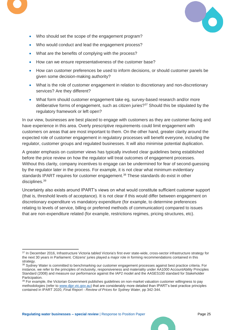

- Who should set the scope of the engagement program?
- Who would conduct and lead the engagement process?
- What are the benefits of complying with the process?
- How can we ensure representativeness of the customer base?
- How can customer preferences be used to inform decisions, or should customer panels be given some decision-making authority?
- What is the role of customer engagement in relation to discretionary and non-discretionary services? Are they different?
- What form should customer engagement take eg, survey-based research and/or more deliberative forms of engagement, such as citizen juries?<sup>37</sup> Should this be stipulated by the regulatory framework or left open?

In our view, businesses are best placed to engage with customers as they are customer-facing and have experience in this area. Overly prescriptive requirements could limit engagement with customers on areas that are most important to them. On the other hand, greater clarity around the expected role of customer engagement in regulatory processes will benefit everyone, including the regulator, customer groups and regulated businesses. It will also minimise potential duplication.

A greater emphasis on customer views has typically involved clear guidelines being established before the price review on how the regulator will treat outcomes of engagement processes. Without this clarity, company incentives to engage can be undermined for fear of second-guessing by the regulator later in the process. For example, it is not clear what minimum evidentiary standards IPART requires for customer engagement.<sup>38</sup> These standards do exist in other disciplines.<sup>39</sup>

Uncertainty also exists around IPART's views on what would constitute sufficient customer support (that is, threshold levels of acceptance). It is not clear if this would differ between engagement on discretionary expenditure vs mandatory expenditure (for example, to determine preferences relating to levels of service, billing or preferred methods of communication) compared to issues that are non-expenditure related (for example, restrictions regimes, pricing structures, etc).

<sup>37</sup> In December 2016, Infrastructure Victoria tabled Victoria's first ever state-wide, cross-sector infrastructure strategy for the next 30 years in Parliament. Citizens' juries played a major role in forming recommendations contained in this strategy.

<sup>&</sup>lt;sup>38</sup> Sydney Water is committed to benchmarking our customer engagement processes against best practice criteria. For instance, we refer to the principles of inclusivity, responsiveness and materiality under AA1000 AccountAbility Principles Standard (2008) and measure our performance against the IAP2 model and the AASES100 standard for Stakeholder Participation.

<sup>&</sup>lt;sup>39</sup> For example, the Victorian Government publishes quidelines on non-market valuation customer willingness to pay methodologies (refer to [www.djpr.vic.gov.au\)](https://djpr.vic.gov.au/about-us/overview/the-economic-assessment-information-portal/i-am-looking-for-guidance-on-particular-economic-assessment-processes,-methods-and-variables) that are considerably more detailed than IPART's best practice principles contained in IPART 2020, *Final Report - Review of Prices for Sydney Water*, pp 342-344.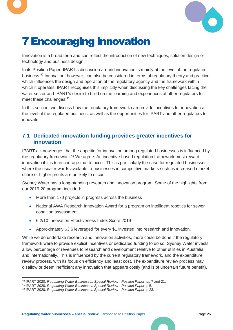



# <span id="page-26-0"></span>7Encouraging innovation

Innovation is a broad term and can reflect the introduction of new techniques, solution design or technology and business design.

In its Position Paper, IPART's discussion around innovation is mainly at the level of the regulated business.<sup>40</sup> Innovation, however, can also be considered in terms of regulatory theory and practice, which influences the design and operation of the regulatory agency and the framework within which it operates. IPART recognises this implicitly when discussing the key challenges facing the water sector and IPART's desire to build on the learning and experiences of other regulators to meet these challenges.<sup>41</sup>

In this section, we discuss how the regulatory framework can provide incentives for innovation at the level of the regulated business, as well as the opportunities for IPART and other regulators to innovate.

# <span id="page-26-1"></span>**7.1 Dedicated innovation funding provides greater incentives for innovation**

IPART acknowledges that the appetite for innovation among regulated businesses is influenced by the regulatory framework.<sup>42</sup> We agree. An incentive-based regulation framework must reward innovation if it is to encourage that to occur. This is particularly the case for regulated businesses where the usual rewards available to businesses in competitive markets such as increased market share or higher profits are unlikely to occur.

Sydney Water has a long-standing research and innovation program. Some of the highlights from our 2019-20 program included:

- More than 170 projects in progress across the business
- National AWA Research Innovation Award for a program on intelligent robotics for sewer condition assessment
- 6.2/10 Innovation Effectiveness Index Score 2019
- Approximately \$3.6 leveraged for every \$1 invested into research and innovation.

While we do undertake research and innovation activities, more could be done if the regulatory framework were to provide explicit incentives or dedicated funding to do so. Sydney Water invests a low percentage of revenues to research and development relative to other utilities in Australia and internationally. This is influenced by the current regulatory framework, and the expenditure review process, with its focus on efficiency and least cost. The expenditure review process may disallow or deem inefficient any innovation that appears costly (and is of uncertain future benefit).

<sup>40</sup> IPART 2020, *Regulating Water Businesses Special Review - Position Paper*, pp 7 and 21.

<sup>41</sup> IPART 2020, *Regulating Water Businesses Special Review - Position Paper*, p 5.

<sup>42</sup> IPART 2020, *Regulating Water Businesses Special Review - Position Paper*, p 23.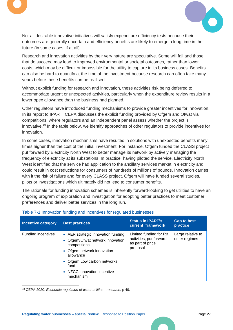



Not all desirable innovative initiatives will satisfy expenditure efficiency tests because their outcomes are generally uncertain and efficiency benefits are likely to emerge a long time in the future (in some cases, if at all).

Research and innovation activities by their very nature are speculative. Some will fail and those that do succeed may lead to improved environmental or societal outcomes, rather than lower costs, which may be difficult or impossible for the utility to capture in its business cases. Benefits can also be hard to quantify at the time of the investment because research can often take many years before these benefits can be realised.

Without explicit funding for research and innovation, these activities risk being deferred to accommodate urgent or unexpected activities, particularly when the expenditure review results in a lower opex allowance than the business had planned.

Other regulators have introduced funding mechanisms to provide greater incentives for innovation. In its report to IPART, CEPA discusses the explicit funding provided by Ofgem and Ofwat via competitions, where regulators and an independent panel assess whether the project is innovative. <sup>43</sup> In the table below, we identify approaches of other regulators to provide incentives for innovation.

In some cases, innovation mechanisms have resulted in solutions with unexpected benefits many times higher than the cost of the initial investment. For instance, Ofgem funded the CLASS project put forward by Electricity North West to better manage its network by actively managing the frequency of electricity at its substations. In practice, having piloted the service, Electricity North West identified that the service had application to the ancillary services market in electricity and could result in cost reductions for consumers of hundreds of millions of pounds. Innovation carries with it the risk of failure and for every CLASS project, Ofgem will have funded several studies, pilots or investigations which ultimately did not lead to consumer benefits.

The rationale for funding innovation schemes is inherently forward-looking to get utilities to have an ongoing program of exploration and investigation for adopting better practices to meet customer preferences and deliver better services in the long run.

| <b>Incentive category</b> | <b>Best practices</b>                                                                                                                                                                                                         | <b>Status in IPART's</b><br>current framework                                      | <b>Gap to best</b><br>practice     |
|---------------------------|-------------------------------------------------------------------------------------------------------------------------------------------------------------------------------------------------------------------------------|------------------------------------------------------------------------------------|------------------------------------|
| <b>Funding incentives</b> | • AER strategic innovation funding<br>Ofgem/Ofwat network innovation<br>competitions<br>• Ofgem network innovation<br>allowance<br>• Ofgem Low carbon networks<br>fund<br>NZCC innovation incentive<br>$\bullet$<br>mechanism | Limited funding for R&I<br>activities, put forward<br>as part of price<br>proposal | Large relative to<br>other regimes |

#### Table 7-1 Innovation funding and incentives for regulated businesses

<sup>43</sup> CEPA 2020, *Economic regulation of water utilities - research*, p 49.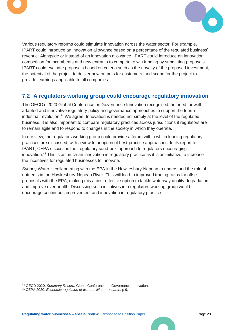



Various regulatory reforms could stimulate innovation across the water sector. For example, IPART could introduce an innovation allowance based on a percentage of the regulated business' revenue. Alongside or instead of an innovation allowance, IPART could introduce an innovation competition for incumbents and new entrants to compete to win funding by submitting proposals. IPART could evaluate proposals based on criteria such as the novelty of the proposed investment, the potential of the project to deliver new outputs for customers, and scope for the project to provide learnings applicable to all companies.

# <span id="page-28-0"></span>**7.2 A regulators working group could encourage regulatory innovation**

The OECD's 2020 Global Conference on Governance Innovation recognised the need for welladapted and innovative regulatory policy and governance approaches to support the fourth industrial revolution.<sup>44</sup> We agree. Innovation is needed not simply at the level of the regulated business. It is also important to compare regulatory practices across jurisdictions if regulators are to remain agile and to respond to changes in the society in which they operate.

In our view, the regulators working group could provide a forum within which leading regulatory practices are discussed, with a view to adoption of best-practice approaches. In its report to IPART, CEPA discusses the 'regulatory sand-box' approach to regulators encouraging innovation.<sup>45</sup> This is as much an innovation in regulatory practice as it is an initiative to increase the incentives for regulated businesses to innovate.

Sydney Water is collaborating with the EPA in the Hawkesbury-Nepean to understand the role of nutrients in the Hawkesbury-Nepean River. This will lead to improved trading ratios for offset proposals with the EPA, making this a cost-effective option to tackle waterway quality degradation and improve river health. Discussing such initiatives in a regulators working group would encourage continuous improvement and innovation in regulatory practice.

<sup>44</sup> OECD 2020, *Summary Record,* Global Conference on Governance Innovation*.*

<sup>45</sup> CEPA 2020, *Economic regulation of water utilities - research*, p 9.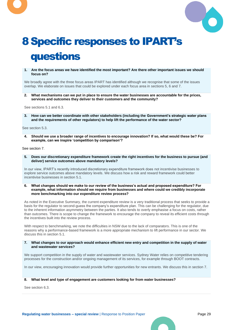



# <span id="page-29-0"></span>8Specific responses to IPART's questions

**1. Are the focus areas we have identified the most important? Are there other important issues we should focus on?**

We broadly agree with the three focus areas IPART has identified although we recognise that some of the issues overlap. We elaborate on issues that could be explored under each focus area in sections [5,](#page-17-0) 6 and [7.](#page-26-0)

**2. What mechanisms can we put in place to ensure the water businesses are accountable for the prices, services and outcomes they deliver to their customers and the community?**

See sections [5.1](#page-17-1) an[d 6.3.](#page-24-0)

**3. How can we better coordinate with other stakeholders (including the Government's strategic water plans and the requirements of other regulators) to help lift the performance of the water sector?**

See section [5.3.](#page-20-0)

**4. Should we use a broader range of incentives to encourage innovation? If so, what would these be? For example, can we inspire 'competition by comparison'?**

See section [7.](#page-26-0)

**5. Does our discretionary expenditure framework create the right incentives for the business to pursue (and deliver) service outcomes above mandatory levels?**

In our view, IPART's recently introduced discretionary expenditure framework does not incentivise businesses to explore service outcomes above mandatory levels. We discuss how a risk and reward framework could better incentivise businesses in section 5.1.

**6. What changes should we make to our review of the business's actual and proposed expenditure? For example, what information should we require from businesses and where could we credibly incorporate more benchmarking into our expenditure review process?**

As noted in the Executive Summary, the current expenditure review is a very traditional process that seeks to provide a basis for the regulator to second-guess the company's expenditure plan. This can be challenging for the regulator, due to the inherent information asymmetry between the parties. It also tends to overly emphasise a focus on costs, rather than outcomes. There is scope to change the framework to encourage the company to reveal its efficient costs through the incentives built into the review process.

With respect to benchmarking, we note the difficulties in NSW due to the lack of comparators. This is one of the reasons why a performance-based framework is a more appropriate mechanism to lift performance in our sector. We discuss this in section [5.1.](#page-17-1)

#### **7. What changes to our approach would enhance efficient new entry and competition in the supply of water and wastewater services?**

We support competition in the supply of water and wastewater services. Sydney Water relies on competitive tendering processes for the construction and/or ongoing management of its services, for example through BOOT contracts.

In our view, encouraging innovation would provide further opportunities for new entrants. We discuss this in section [7.](#page-26-0)

#### **8. What level and type of engagement are customers looking for from water businesses?**

See sectio[n 6.3.](#page-24-0)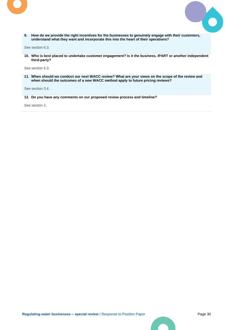



**9. How do we provide the right incentives for the businesses to genuinely engage with their customers, understand what they want and incorporate this into the heart of their operations?**

See section [6.3.](#page-24-0)

**10. Who is best placed to undertake customer engagement? Is it the business, IPART or another independent third-party?**

See section 6.3.

**11. When should we conduct our next WACC review? What are your views on the scope of the review and when should the outcomes of a new WACC method apply to future pricing reviews?**

See sectio[n 3.4.](#page-13-1)

**12. Do you have any comments on our proposed review process and timeline?**

See section 2.